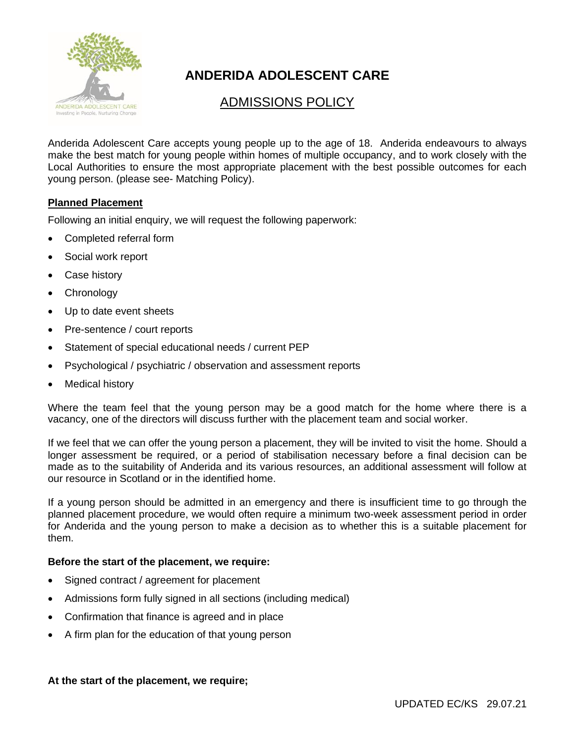

# **ANDERIDA ADOLESCENT CARE**

## ADMISSIONS POLICY

Anderida Adolescent Care accepts young people up to the age of 18. Anderida endeavours to always make the best match for young people within homes of multiple occupancy, and to work closely with the Local Authorities to ensure the most appropriate placement with the best possible outcomes for each young person. (please see- Matching Policy).

#### **Planned Placement**

Following an initial enquiry, we will request the following paperwork:

- Completed referral form
- Social work report
- Case history
- Chronology
- Up to date event sheets
- Pre-sentence / court reports
- Statement of special educational needs / current PEP
- Psychological / psychiatric / observation and assessment reports
- **Medical history**

Where the team feel that the young person may be a good match for the home where there is a vacancy, one of the directors will discuss further with the placement team and social worker.

If we feel that we can offer the young person a placement, they will be invited to visit the home. Should a longer assessment be required, or a period of stabilisation necessary before a final decision can be made as to the suitability of Anderida and its various resources, an additional assessment will follow at our resource in Scotland or in the identified home.

If a young person should be admitted in an emergency and there is insufficient time to go through the planned placement procedure, we would often require a minimum two-week assessment period in order for Anderida and the young person to make a decision as to whether this is a suitable placement for them.

#### **Before the start of the placement, we require:**

- Signed contract / agreement for placement
- Admissions form fully signed in all sections (including medical)
- Confirmation that finance is agreed and in place
- A firm plan for the education of that young person

#### **At the start of the placement, we require;**